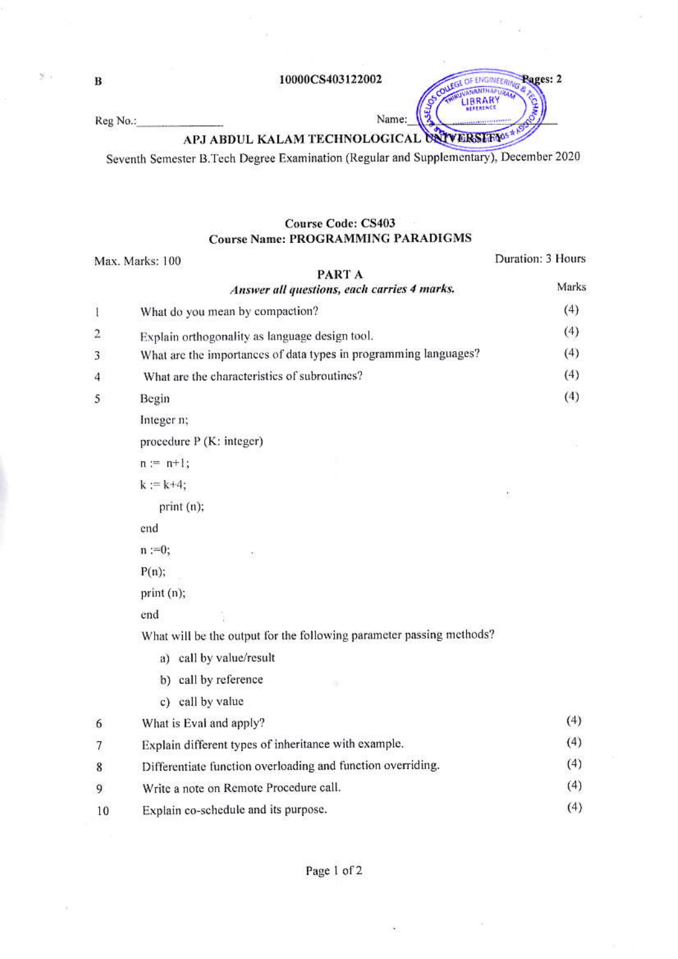10000CS403122002

Reg No.:

APJ ABDUL KALAM TECHNOLOGICAL UNIVERSITY SA

Name:

SEI.

OUEGE OF ENGINEERING Pages: 2

ç

**ANANTHAPURA** LIBRARY

Seventh Semester B. Tech Degree Examination (Regular and Supplementary), December 2020

## **Course Code: CS403 Course Name: PROGRAMMING PARADIGMS**

|                | Max. Marks: 100                                                      | Duration: 3 Hours |
|----------------|----------------------------------------------------------------------|-------------------|
|                | PART A<br>Answer all questions, each carries 4 marks.                | Marks             |
| $\mathbf{I}$   | What do you mean by compaction?                                      | (4)               |
| 2              | Explain orthogonality as language design tool.                       | (4)               |
| 3              | What are the importances of data types in programming languages?     | (4)               |
| $\overline{4}$ | What are the characteristics of subroutines?                         | (4)               |
| 5              | Begin                                                                | (4)               |
|                | Integer n;                                                           |                   |
|                | procedure P (K: integer)                                             |                   |
|                | $n := n+1;$                                                          |                   |
|                | $k := k + 4$ ;                                                       | f.                |
|                | print (n);                                                           |                   |
|                | end                                                                  |                   |
|                | $n := 0;$<br>ŧ.                                                      |                   |
|                | $P(n)$ ;                                                             |                   |
|                | print (n);                                                           |                   |
|                | end                                                                  |                   |
|                | What will be the output for the following parameter passing methods? |                   |
|                | a) call by value/result                                              |                   |
|                | b) call by reference                                                 |                   |
|                | c) call by value                                                     |                   |
| 6              | What is Eval and apply?                                              | (4)               |
| 7              | Explain different types of inheritance with example.                 | (4)               |
| 8              | Differentiate function overloading and function overriding.          | (4)               |
| 9              | Write a note on Remote Procedure call.                               | (4)               |
| 10             | Explain co-schedule and its purpose.                                 | (4)               |
|                |                                                                      |                   |

 $\, {\bf B}$ 

 $\mathcal{Y} \rightarrow$